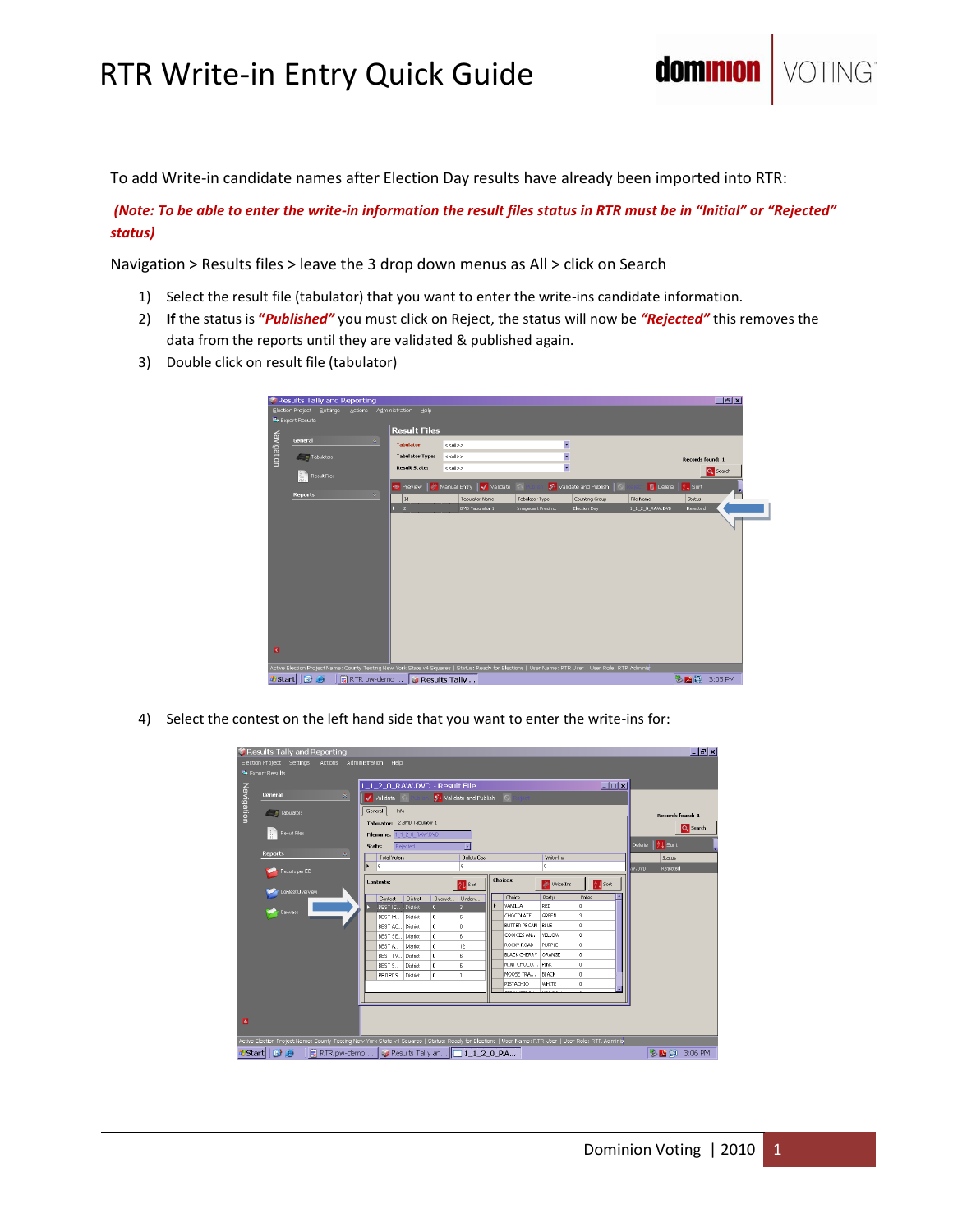## RTR Write-in Entry Quick Guide

To add Write-in candidate names after Election Day results have already been imported into RTR:

*(Note: To be able to enter the write-in information the result files status in RTR must be in "Initial" or "Rejected" status)*

Navigation > Results files > leave the 3 drop down menus as All > click on Search

- 1) Select the result file (tabulator) that you want to enter the write-ins candidate information.
- 2) **If** the status is **"***Published"* you must click on Reject, the status will now be *"Rejected"* this removes the data from the reports until they are validated & published again.
- 3) Double click on result file (tabulator)

|                | Results Tally and Reporting                                                                                                                         |                        |                          |                          |                                    |                  | $   \mathbb{R}$ $\times$ |  |  |  |  |  |
|----------------|-----------------------------------------------------------------------------------------------------------------------------------------------------|------------------------|--------------------------|--------------------------|------------------------------------|------------------|--------------------------|--|--|--|--|--|
|                | Election Project<br>Settings<br><b>Actions</b>                                                                                                      | Administration Help    |                          |                          |                                    |                  |                          |  |  |  |  |  |
| Export Results |                                                                                                                                                     |                        |                          |                          |                                    |                  |                          |  |  |  |  |  |
|                |                                                                                                                                                     |                        | <b>Result Files</b>      |                          |                                    |                  |                          |  |  |  |  |  |
|                | General<br>$\approx$                                                                                                                                | <b>Tabulator:</b>      | $<<$ All>>               | $\overline{\phantom{a}}$ |                                    |                  |                          |  |  |  |  |  |
| Navigation     | Tabulators                                                                                                                                          | <b>Tabulator Type:</b> | < <al>&gt;</al>          | $\overline{\phantom{0}}$ |                                    |                  | <b>Records found: 1</b>  |  |  |  |  |  |
|                |                                                                                                                                                     | <b>Result State:</b>   | $<<$ All>>               | F                        |                                    |                  | Q Search                 |  |  |  |  |  |
|                | <b>Result Files</b>                                                                                                                                 | <b>E</b> Preview       | Manual Entry Validate Kv |                          | 54 Validate and Publish<br>$\circ$ | Delete   21 Sort |                          |  |  |  |  |  |
|                | ×<br><b>Reports</b>                                                                                                                                 | Id                     | <b>Tabulator Name</b>    | Tabulator Type           | Counting Group                     | File Name        | Status                   |  |  |  |  |  |
|                |                                                                                                                                                     | $\overline{2}$         | <b>BMD Tabulator 1</b>   | Imagecast Precinct       | Election Day                       | 1_1_2_0_RAW.DVD  | Rejected                 |  |  |  |  |  |
|                |                                                                                                                                                     |                        |                          |                          |                                    |                  |                          |  |  |  |  |  |
|                |                                                                                                                                                     |                        |                          |                          |                                    |                  |                          |  |  |  |  |  |
|                |                                                                                                                                                     |                        |                          |                          |                                    |                  |                          |  |  |  |  |  |
|                |                                                                                                                                                     |                        |                          |                          |                                    |                  |                          |  |  |  |  |  |
|                |                                                                                                                                                     |                        |                          |                          |                                    |                  |                          |  |  |  |  |  |
|                |                                                                                                                                                     |                        |                          |                          |                                    |                  |                          |  |  |  |  |  |
|                |                                                                                                                                                     |                        |                          |                          |                                    |                  |                          |  |  |  |  |  |
|                |                                                                                                                                                     |                        |                          |                          |                                    |                  |                          |  |  |  |  |  |
|                |                                                                                                                                                     |                        |                          |                          |                                    |                  |                          |  |  |  |  |  |
|                |                                                                                                                                                     |                        |                          |                          |                                    |                  |                          |  |  |  |  |  |
|                |                                                                                                                                                     |                        |                          |                          |                                    |                  |                          |  |  |  |  |  |
| <b>R</b>       |                                                                                                                                                     |                        |                          |                          |                                    |                  |                          |  |  |  |  |  |
|                | Active Election Project Name: County Testing New York State v4 Squares   Status: Ready for Elections   User Name: RTR User   User Role: RTR Adminis |                        |                          |                          |                                    |                  |                          |  |  |  |  |  |
| <b>Start</b>   | <b>BB</b>                                                                                                                                           | Results Tally          |                          |                          |                                    |                  | 多 2 回 3:05 PM            |  |  |  |  |  |

4) Select the contest on the left hand side that you want to enter the write-ins for:

|                                                          | Results Tally and Reporting                                                                                                                          |                                                  |                               |                 |              |                     |  |                            |               |                 |  |                         |             | $ B$ $x$ |
|----------------------------------------------------------|------------------------------------------------------------------------------------------------------------------------------------------------------|--------------------------------------------------|-------------------------------|-----------------|--------------|---------------------|--|----------------------------|---------------|-----------------|--|-------------------------|-------------|----------|
| Election Project Settinas<br>Actions Administration Help |                                                                                                                                                      |                                                  |                               |                 |              |                     |  |                            |               |                 |  |                         |             |          |
|                                                          | Export Results                                                                                                                                       |                                                  |                               |                 |              |                     |  |                            |               |                 |  |                         |             |          |
|                                                          |                                                                                                                                                      |                                                  | 1 1 2 0 RAW.DVD - Result File |                 |              |                     |  |                            |               | $\Box$ o $\Box$ |  |                         |             |          |
| Navigation                                               | General<br>$\approx$                                                                                                                                 | $S$ Validate and Publish $  \circ$<br>Validate & |                               |                 |              |                     |  |                            |               |                 |  |                         |             |          |
|                                                          |                                                                                                                                                      |                                                  |                               |                 |              |                     |  |                            |               |                 |  |                         |             |          |
|                                                          | Tabulators                                                                                                                                           | General<br>Info                                  |                               |                 |              |                     |  |                            |               |                 |  | <b>Records found: 1</b> |             |          |
|                                                          |                                                                                                                                                      | Tabulator: 2.BMD Tabulator 1                     |                               |                 |              |                     |  |                            |               |                 |  |                         |             | Q Search |
|                                                          | ı.<br>Result Files<br><b>Reports</b><br>Â,                                                                                                           | Filename: 1120 RAW.DVD                           |                               |                 |              |                     |  |                            |               |                 |  |                         |             |          |
|                                                          |                                                                                                                                                      |                                                  | State:                        | Rejected        |              |                     |  |                            |               |                 |  | Delete   21 Sort        |             |          |
|                                                          |                                                                                                                                                      |                                                  | Total Voters                  |                 |              | <b>Ballots Cast</b> |  | Write-Ins                  |               |                 |  | Status                  |             |          |
|                                                          | Results per ED                                                                                                                                       |                                                  | 6                             |                 |              | 6                   |  |                            | $\bf{0}$      |                 |  | W.DVD                   | Rejected    |          |
|                                                          |                                                                                                                                                      |                                                  | <b>Contests:</b>              |                 |              |                     |  | <b>Choices:</b>            |               |                 |  |                         |             |          |
|                                                          | Contest Overview                                                                                                                                     |                                                  |                               |                 |              | <b>All</b> Sort     |  |                            | Write Ins     | <b>All</b> Sort |  |                         |             |          |
|                                                          |                                                                                                                                                      |                                                  | Contest                       | <b>District</b> | Overvot      | Underv              |  | Choice                     | Party         | Votes           |  |                         |             |          |
|                                                          | Carwass                                                                                                                                              |                                                  | <b>BESTIC</b>                 | <b>District</b> | $\mathbf{0}$ | $\overline{3}$      |  | VANILLA                    | RED           | $\mathbf{0}$    |  |                         |             |          |
|                                                          |                                                                                                                                                      |                                                  | BEST M                        | District        | $\mathbf{0}$ | 6                   |  | CHOCOLATE                  | GREEN         | 3               |  |                         |             |          |
|                                                          |                                                                                                                                                      |                                                  | BEST AC District              |                 | $\mathbf{a}$ | $\mathbf{0}$        |  | BUTTER PECAN               | BLUE          | lo.             |  |                         |             |          |
|                                                          |                                                                                                                                                      |                                                  | BEST SE District              |                 | $\bf{0}$     | 6                   |  | COOKIES AN                 | <b>YELLOW</b> | lo.             |  |                         |             |          |
|                                                          |                                                                                                                                                      |                                                  | BESTA                         | District        | $\bf{0}$     | 12                  |  | ROCKY ROAD                 | PURPLE        | lo.             |  |                         |             |          |
|                                                          |                                                                                                                                                      |                                                  | BEST TV District              |                 | $\mathbf{0}$ | 6                   |  | <b>BLACK CHERRY ORANGE</b> |               | lo.             |  |                         |             |          |
|                                                          |                                                                                                                                                      |                                                  | BEST S                        | District        | $\bf{0}$     | 6                   |  | MINT CHOCO                 | PINK          | lo.             |  |                         |             |          |
|                                                          |                                                                                                                                                      |                                                  | PROPOS District               |                 | $\theta$     |                     |  | MOOSE TRA                  | BLACK         | lo.             |  |                         |             |          |
|                                                          |                                                                                                                                                      |                                                  |                               |                 |              |                     |  | PISTACHIO                  | <b>WHITE</b>  | lo.<br>ᆔ        |  |                         |             |          |
|                                                          |                                                                                                                                                      |                                                  |                               |                 |              |                     |  |                            |               |                 |  |                         |             |          |
|                                                          |                                                                                                                                                      |                                                  |                               |                 |              |                     |  |                            |               |                 |  |                         |             |          |
| <b>G</b>                                                 |                                                                                                                                                      |                                                  |                               |                 |              |                     |  |                            |               |                 |  |                         |             |          |
|                                                          |                                                                                                                                                      |                                                  |                               |                 |              |                     |  |                            |               |                 |  |                         |             |          |
|                                                          | Active Election Project Name: County Testing New York State v4 Squares   Status: Ready for Elections   User Name: RTR User   User Role: RTR Administ |                                                  |                               |                 |              |                     |  |                            |               |                 |  |                         |             |          |
|                                                          | <b>#Start @</b><br>RTR pw-demo    G Results Tally an   1 1 2 0 RA                                                                                    |                                                  |                               |                 |              |                     |  |                            |               |                 |  |                         | 多四面 3:06 PM |          |

dominio

NG<sup>®</sup>